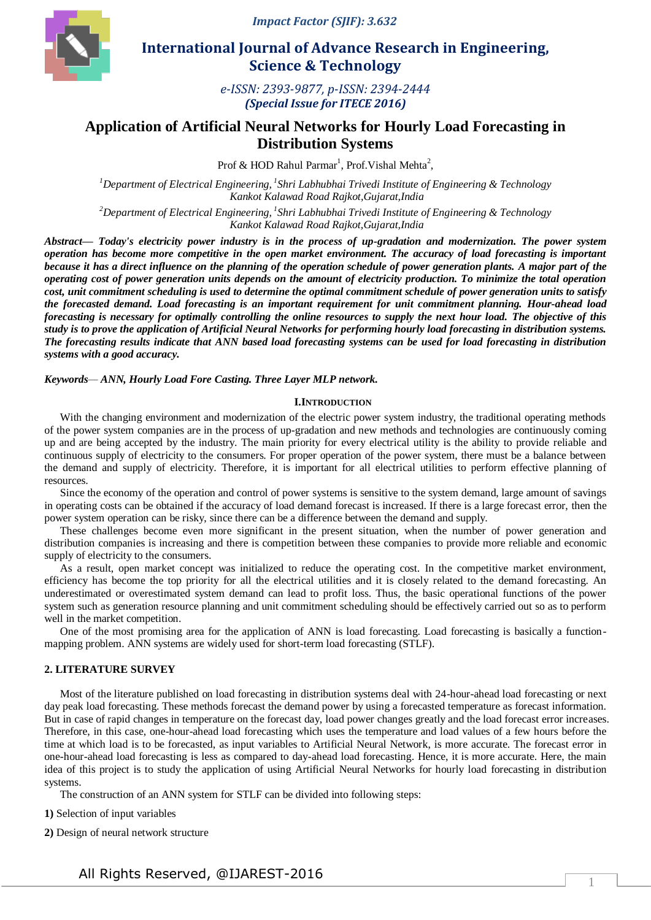*Impact Factor (SJIF): 3.632*



 **International Journal of Advance Research in Engineering, Science & Technology** 

> *e-ISSN: 2393-9877, p-ISSN: 2394-2444 (Special Issue for ITECE 2016)*

# **Application of Artificial Neural Networks for Hourly Load Forecasting in Distribution Systems**

Prof & HOD Rahul Parmar<sup>1</sup>, Prof. Vishal Mehta<sup>2</sup>,

*<sup>1</sup>Department of Electrical Engineering, <sup>1</sup> Shri Labhubhai Trivedi Institute of Engineering & Technology Kankot Kalawad Road Rajkot,Gujarat,India* 

*<sup>2</sup>Department of Electrical Engineering, <sup>1</sup> Shri Labhubhai Trivedi Institute of Engineering & Technology Kankot Kalawad Road Rajkot,Gujarat,India* 

*Abstract— Today's electricity power industry is in the process of up-gradation and modernization. The power system operation has become more competitive in the open market environment. The accuracy of load forecasting is important because it has a direct influence on the planning of the operation schedule of power generation plants. A major part of the operating cost of power generation units depends on the amount of electricity production. To minimize the total operation cost, unit commitment scheduling is used to determine the optimal commitment schedule of power generation units to satisfy the forecasted demand. Load forecasting is an important requirement for unit commitment planning. Hour-ahead load forecasting is necessary for optimally controlling the online resources to supply the next hour load. The objective of this study is to prove the application of Artificial Neural Networks for performing hourly load forecasting in distribution systems. The forecasting results indicate that ANN based load forecasting systems can be used for load forecasting in distribution systems with a good accuracy.*

*Keywords— ANN, Hourly Load Fore Casting. Three Layer MLP network.*

### **I.INTRODUCTION**

With the changing environment and modernization of the electric power system industry, the traditional operating methods of the power system companies are in the process of up-gradation and new methods and technologies are continuously coming up and are being accepted by the industry. The main priority for every electrical utility is the ability to provide reliable and continuous supply of electricity to the consumers. For proper operation of the power system, there must be a balance between the demand and supply of electricity. Therefore, it is important for all electrical utilities to perform effective planning of resources.

Since the economy of the operation and control of power systems is sensitive to the system demand, large amount of savings in operating costs can be obtained if the accuracy of load demand forecast is increased. If there is a large forecast error, then the power system operation can be risky, since there can be a difference between the demand and supply.

These challenges become even more significant in the present situation, when the number of power generation and distribution companies is increasing and there is competition between these companies to provide more reliable and economic supply of electricity to the consumers.

As a result, open market concept was initialized to reduce the operating cost. In the competitive market environment, efficiency has become the top priority for all the electrical utilities and it is closely related to the demand forecasting. An underestimated or overestimated system demand can lead to profit loss. Thus, the basic operational functions of the power system such as generation resource planning and unit commitment scheduling should be effectively carried out so as to perform well in the market competition.

One of the most promising area for the application of ANN is load forecasting. Load forecasting is basically a functionmapping problem. ANN systems are widely used for short-term load forecasting (STLF).

### **2. LITERATURE SURVEY**

Most of the literature published on load forecasting in distribution systems deal with 24-hour-ahead load forecasting or next day peak load forecasting. These methods forecast the demand power by using a forecasted temperature as forecast information. But in case of rapid changes in temperature on the forecast day, load power changes greatly and the load forecast error increases. Therefore, in this case, one-hour-ahead load forecasting which uses the temperature and load values of a few hours before the time at which load is to be forecasted, as input variables to Artificial Neural Network, is more accurate. The forecast error in one-hour-ahead load forecasting is less as compared to day-ahead load forecasting. Hence, it is more accurate. Here, the main idea of this project is to study the application of using Artificial Neural Networks for hourly load forecasting in distribution systems.

The construction of an ANN system for STLF can be divided into following steps:

**1)** Selection of input variables

**2)** Design of neural network structure

All Rights Reserved, @IJAREST-2016

1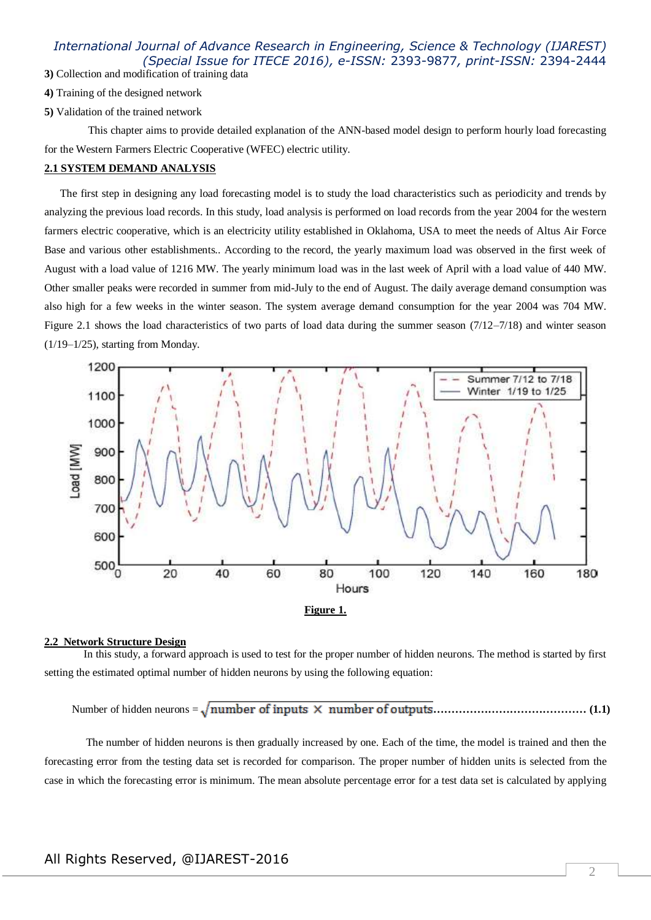**3)** Collection and modification of training data

- **4)** Training of the designed network
- **5)** Validation of the trained network

 This chapter aims to provide detailed explanation of the ANN-based model design to perform hourly load forecasting for the Western Farmers Electric Cooperative (WFEC) electric utility.

### **2.1 SYSTEM DEMAND ANALYSIS**

The first step in designing any load forecasting model is to study the load characteristics such as periodicity and trends by analyzing the previous load records. In this study, load analysis is performed on load records from the year 2004 for the western farmers electric cooperative, which is an electricity utility established in Oklahoma, USA to meet the needs of Altus Air Force Base and various other establishments.. According to the record, the yearly maximum load was observed in the first week of August with a load value of 1216 MW. The yearly minimum load was in the last week of April with a load value of 440 MW. Other smaller peaks were recorded in summer from mid-July to the end of August. The daily average demand consumption was also high for a few weeks in the winter season. The system average demand consumption for the year 2004 was 704 MW. Figure 2.1 shows the load characteristics of two parts of load data during the summer season (7/12–7/18) and winter season (1/19–1/25), starting from Monday.



#### **2.2 Network Structure Design**

In this study, a forward approach is used to test for the proper number of hidden neurons. The method is started by first setting the estimated optimal number of hidden neurons by using the following equation:

Number of hidden neurons = **…………………………………… (1.1)**

 The number of hidden neurons is then gradually increased by one. Each of the time, the model is trained and then the forecasting error from the testing data set is recorded for comparison. The proper number of hidden units is selected from the case in which the forecasting error is minimum. The mean absolute percentage error for a test data set is calculated by applying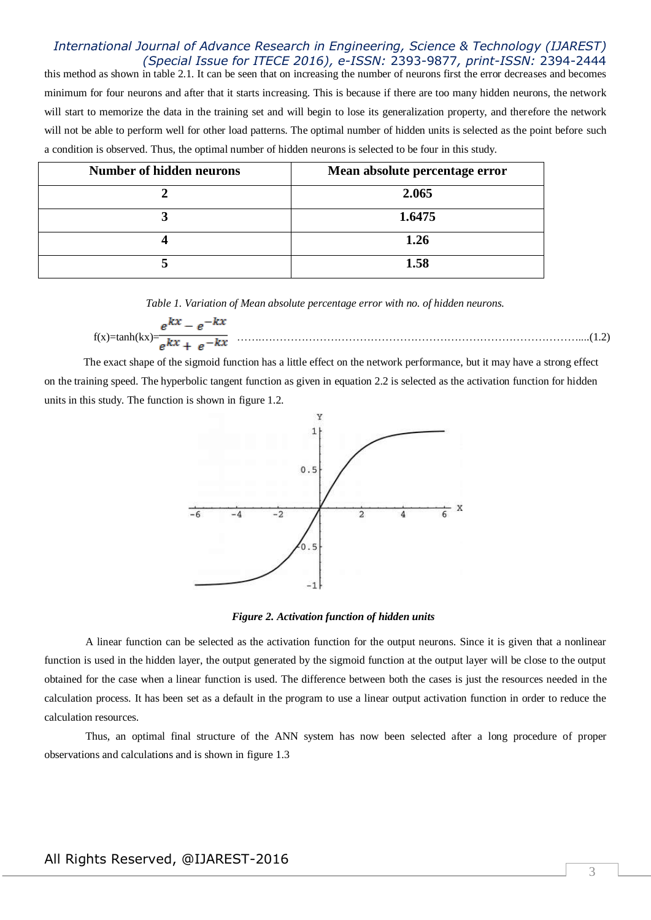this method as shown in table 2.1. It can be seen that on increasing the number of neurons first the error decreases and becomes minimum for four neurons and after that it starts increasing. This is because if there are too many hidden neurons, the network will start to memorize the data in the training set and will begin to lose its generalization property, and therefore the network will not be able to perform well for other load patterns. The optimal number of hidden units is selected as the point before such a condition is observed. Thus, the optimal number of hidden neurons is selected to be four in this study.

| <b>Number of hidden neurons</b> | Mean absolute percentage error |
|---------------------------------|--------------------------------|
|                                 | 2.065                          |
|                                 | 1.6475                         |
|                                 | 1.26                           |
|                                 | 1.58                           |

*Table 1. Variation of Mean absolute percentage error with no. of hidden neurons.*

$$
f(x)=\tanh(kx)=\frac{e^{kx}-e^{-kx}}{e^{kx}+e^{-kx}}
$$
 (1.2)

The exact shape of the sigmoid function has a little effect on the network performance, but it may have a strong effect on the training speed. The hyperbolic tangent function as given in equation 2.2 is selected as the activation function for hidden units in this study. The function is shown in figure 1.2.



*Figure 2. Activation function of hidden units*

 A linear function can be selected as the activation function for the output neurons. Since it is given that a nonlinear function is used in the hidden layer, the output generated by the sigmoid function at the output layer will be close to the output obtained for the case when a linear function is used. The difference between both the cases is just the resources needed in the calculation process. It has been set as a default in the program to use a linear output activation function in order to reduce the calculation resources.

 Thus, an optimal final structure of the ANN system has now been selected after a long procedure of proper observations and calculations and is shown in figure 1.3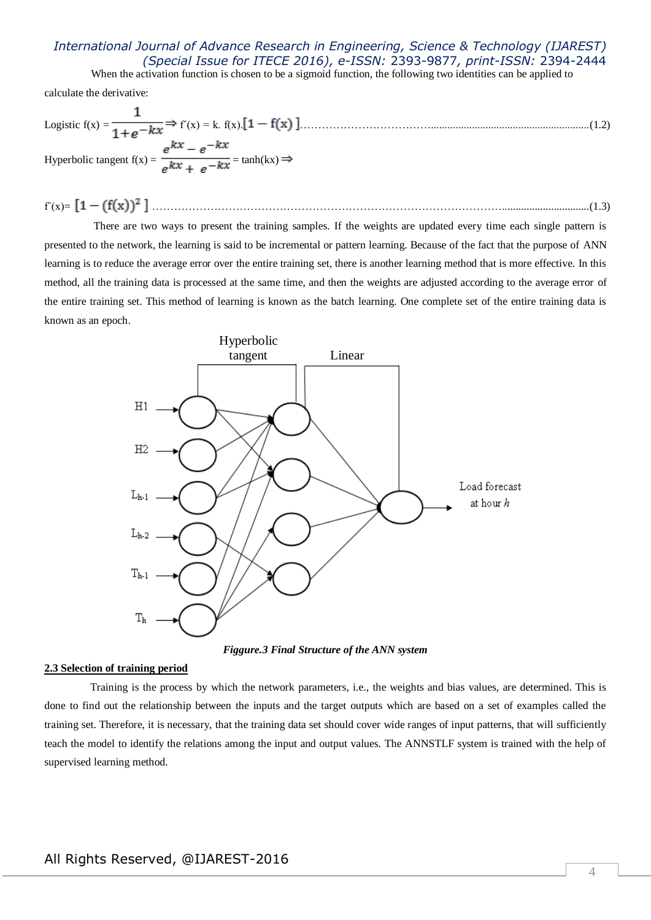When the activation function is chosen to be a sigmoid function, the following two identities can be applied to

calculate the derivative:

Logistic 
$$
f(x) = \frac{1}{1 + e^{-kx}} \Rightarrow f'(x) = k
$$
.  $f(x) \cdot [1 - f(x)]$ .................(1.2)  
Hyperbolic tangent  $f(x) = \frac{e^{kx} - e^{-kx}}{e^{kx} + e^{-kx}} = \tanh(kx) \Rightarrow$ 

$$
f'(x) = \left[1 - (f(x))^2\right] \dots (1.3)
$$

 There are two ways to present the training samples. If the weights are updated every time each single pattern is presented to the network, the learning is said to be incremental or pattern learning. Because of the fact that the purpose of ANN learning is to reduce the average error over the entire training set, there is another learning method that is more effective. In this method, all the training data is processed at the same time, and then the weights are adjusted according to the average error of the entire training set. This method of learning is known as the batch learning. One complete set of the entire training data is known as an epoch.



*Figgure.3 Final Structure of the ANN system*

#### **2.3 Selection of training period**

 Training is the process by which the network parameters, i.e., the weights and bias values, are determined. This is done to find out the relationship between the inputs and the target outputs which are based on a set of examples called the training set. Therefore, it is necessary, that the training data set should cover wide ranges of input patterns, that will sufficiently teach the model to identify the relations among the input and output values. The ANNSTLF system is trained with the help of supervised learning method.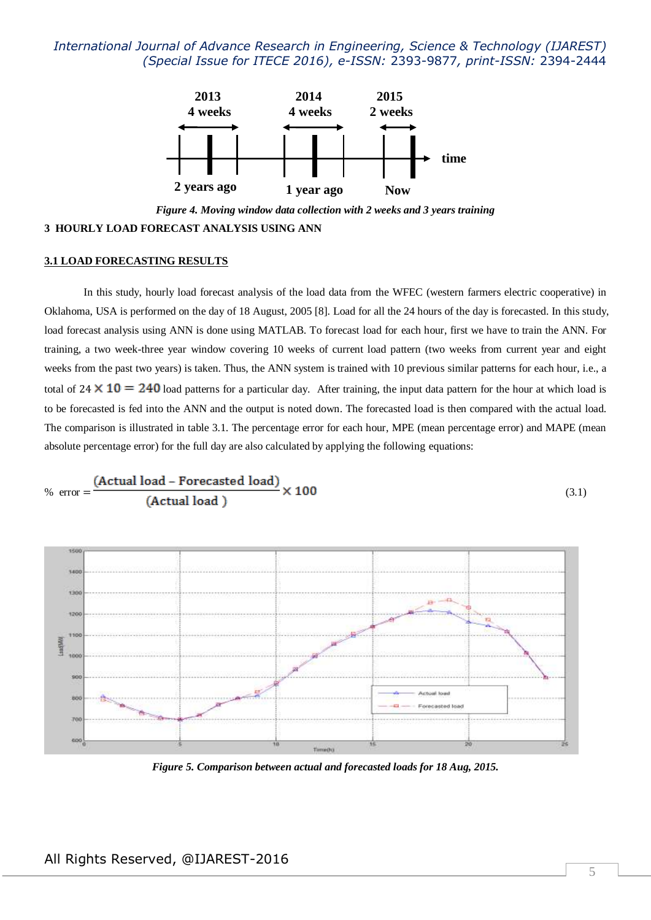

*Figure 4. Moving window data collection with 2 weeks and 3 years training* **3 HOURLY LOAD FORECAST ANALYSIS USING ANN** 

#### **3.1 LOAD FORECASTING RESULTS**

In this study, hourly load forecast analysis of the load data from the WFEC (western farmers electric cooperative) in Oklahoma, USA is performed on the day of 18 August, 2005 [8]. Load for all the 24 hours of the day is forecasted. In this study, load forecast analysis using ANN is done using MATLAB. To forecast load for each hour, first we have to train the ANN. For training, a two week-three year window covering 10 weeks of current load pattern (two weeks from current year and eight weeks from the past two years) is taken. Thus, the ANN system is trained with 10 previous similar patterns for each hour, i.e., a total of  $24 \times 10 = 240$  load patterns for a particular day. After training, the input data pattern for the hour at which load is to be forecasted is fed into the ANN and the output is noted down. The forecasted load is then compared with the actual load. The comparison is illustrated in table 3.1. The percentage error for each hour, MPE (mean percentage error) and MAPE (mean absolute percentage error) for the full day are also calculated by applying the following equations:



*Figure 5. Comparison between actual and forecasted loads for 18 Aug, 2015.*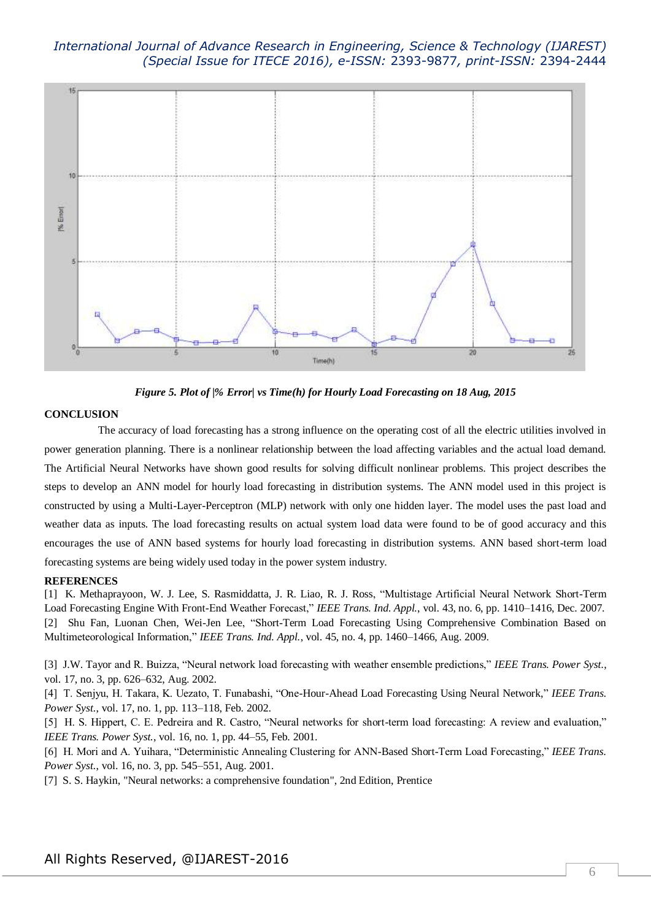

*Figure 5. Plot of |% Error| vs Time(h) for Hourly Load Forecasting on 18 Aug, 2015*

### **CONCLUSION**

 The accuracy of load forecasting has a strong influence on the operating cost of all the electric utilities involved in power generation planning. There is a nonlinear relationship between the load affecting variables and the actual load demand. The Artificial Neural Networks have shown good results for solving difficult nonlinear problems. This project describes the steps to develop an ANN model for hourly load forecasting in distribution systems. The ANN model used in this project is constructed by using a Multi-Layer-Perceptron (MLP) network with only one hidden layer. The model uses the past load and weather data as inputs. The load forecasting results on actual system load data were found to be of good accuracy and this encourages the use of ANN based systems for hourly load forecasting in distribution systems. ANN based short-term load forecasting systems are being widely used today in the power system industry.

### **REFERENCES**

[1] K. Methaprayoon, W. J. Lee, S. Rasmiddatta, J. R. Liao, R. J. Ross, "Multistage Artificial Neural Network Short-Term Load Forecasting Engine With Front-End Weather Forecast," *IEEE Trans. Ind. Appl.*, vol. 43, no. 6, pp. 1410–1416, Dec. 2007. [2] Shu Fan, Luonan Chen, Wei-Jen Lee, "Short-Term Load Forecasting Using Comprehensive Combination Based on Multimeteorological Information," *IEEE Trans. Ind. Appl.*, vol. 45, no. 4, pp. 1460–1466, Aug. 2009.

[3] J.W. Tayor and R. Buizza, "Neural network load forecasting with weather ensemble predictions," *IEEE Trans. Power Syst.*, vol. 17, no. 3, pp. 626–632, Aug. 2002.

[4] T. Senjyu, H. Takara, K. Uezato, T. Funabashi, "One-Hour-Ahead Load Forecasting Using Neural Network," *IEEE Trans. Power Syst.*, vol. 17, no. 1, pp. 113–118, Feb. 2002.

[5] H. S. Hippert, C. E. Pedreira and R. Castro, "Neural networks for short-term load forecasting: A review and evaluation," *IEEE Trans. Power Syst.*, vol. 16, no. 1, pp. 44–55, Feb. 2001.

[6] H. Mori and A. Yuihara, "Deterministic Annealing Clustering for ANN-Based Short-Term Load Forecasting," *IEEE Trans. Power Syst.*, vol. 16, no. 3, pp. 545–551, Aug. 2001.

[7] S. S. Haykin, "Neural networks: a comprehensive foundation", 2nd Edition, Prentice